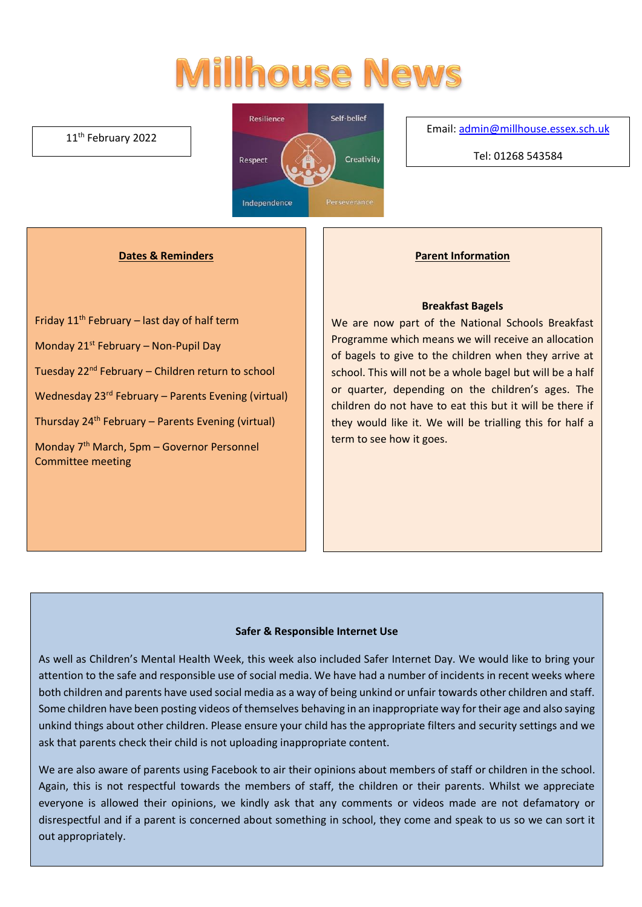# **Millhouse News**

#### 11<sup>th</sup> February 2022



Email[: admin@millhouse.essex.sch.uk](mailto:admin@millhouse.essex.sch.uk)

Tel: 01268 543584

#### **Dates & Reminders**

Friday  $11<sup>th</sup>$  February – last day of half term Monday 21st February – Non-Pupil Day Tuesday 22nd February – Children return to school Wednesday 23rd February – Parents Evening (virtual) Thursday 24th February – Parents Evening (virtual) Monday 7th March, 5pm – Governor Personnel Committee meeting

## **Parent Information**

#### **Breakfast Bagels**

We are now part of the National Schools Breakfast Programme which means we will receive an allocation of bagels to give to the children when they arrive at school. This will not be a whole bagel but will be a half or quarter, depending on the children's ages. The children do not have to eat this but it will be there if they would like it. We will be trialling this for half a term to see how it goes.

#### **Safer & Responsible Internet Use**

As well as Children's Mental Health Week, this week also included Safer Internet Day. We would like to bring your attention to the safe and responsible use of social media. We have had a number of incidents in recent weeks where both children and parents have used social media as a way of being unkind or unfair towards other children and staff. Some children have been posting videos of themselves behaving in an inappropriate way for their age and also saying unkind things about other children. Please ensure your child has the appropriate filters and security settings and we ask that parents check their child is not uploading inappropriate content.

We are also aware of parents using Facebook to air their opinions about members of staff or children in the school. Again, this is not respectful towards the members of staff, the children or their parents. Whilst we appreciate everyone is allowed their opinions, we kindly ask that any comments or videos made are not defamatory or disrespectful and if a parent is concerned about something in school, they come and speak to us so we can sort it out appropriately.